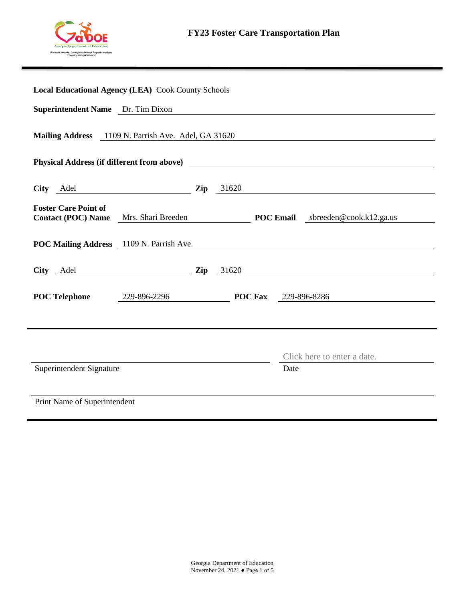

| Local Educational Agency (LEA) Cook County Schools       |                      |     |       |                                                              |  |  |
|----------------------------------------------------------|----------------------|-----|-------|--------------------------------------------------------------|--|--|
| <b>Superintendent Name</b> Dr. Tim Dixon                 |                      |     |       |                                                              |  |  |
| Mailing Address 1109 N. Parrish Ave. Adel, GA 31620      |                      |     |       |                                                              |  |  |
|                                                          |                      |     |       |                                                              |  |  |
| City Adel                                                |                      | Zip | 31620 | <u> 1989 - John Stone, amerikansk politiker (</u>            |  |  |
| <b>Foster Care Point of</b><br><b>Contact (POC) Name</b> |                      |     |       | Mrs. Shari Breeden <b>POC Email</b> sbreeden@cook.k12.ga.us  |  |  |
| POC Mailing Address 1109 N. Parrish Ave.                 |                      |     |       |                                                              |  |  |
| City Adel Zip                                            |                      |     | 31620 | <u> 1989 - Johann Barbara, martxa eta idazlea (h. 1989).</u> |  |  |
| <b>POC Telephone</b>                                     | 229-896-2296 POC Fax |     |       | 229-896-8286                                                 |  |  |
|                                                          |                      |     |       |                                                              |  |  |
|                                                          |                      |     |       | Click here to enter a date.                                  |  |  |
| Superintendent Signature                                 |                      |     | Date  |                                                              |  |  |
| Print Name of Superintendent                             |                      |     |       |                                                              |  |  |
|                                                          |                      |     |       |                                                              |  |  |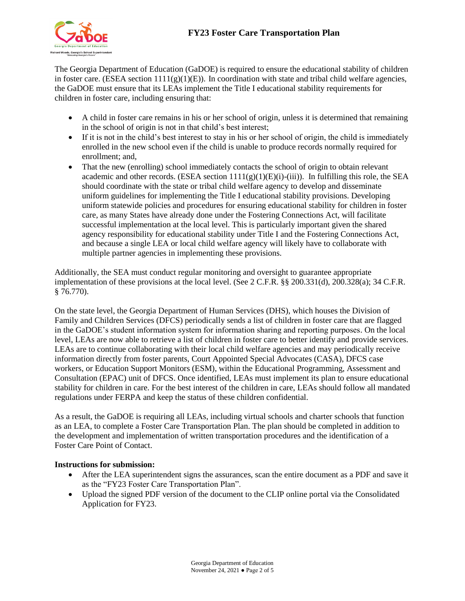

The Georgia Department of Education (GaDOE) is required to ensure the educational stability of children in foster care. (ESEA section  $1111(g)(1)(E)$ ). In coordination with state and tribal child welfare agencies, the GaDOE must ensure that its LEAs implement the Title I educational stability requirements for children in foster care, including ensuring that:

- A child in foster care remains in his or her school of origin, unless it is determined that remaining in the school of origin is not in that child's best interest;
- $\bullet$  If it is not in the child's best interest to stay in his or her school of origin, the child is immediately enrolled in the new school even if the child is unable to produce records normally required for enrollment; and,
- That the new (enrolling) school immediately contacts the school of origin to obtain relevant academic and other records. (ESEA section  $1111(g)(1)(E)(i)-(iii)$ ). In fulfilling this role, the SEA should coordinate with the state or tribal child welfare agency to develop and disseminate uniform guidelines for implementing the Title I educational stability provisions. Developing uniform statewide policies and procedures for ensuring educational stability for children in foster care, as many States have already done under the Fostering Connections Act, will facilitate successful implementation at the local level. This is particularly important given the shared agency responsibility for educational stability under Title I and the Fostering Connections Act, and because a single LEA or local child welfare agency will likely have to collaborate with multiple partner agencies in implementing these provisions.

Additionally, the SEA must conduct regular monitoring and oversight to guarantee appropriate implementation of these provisions at the local level. (See 2 C.F.R. §§ 200.331(d), 200.328(a); 34 C.F.R. § 76.770).

On the state level, the Georgia Department of Human Services (DHS), which houses the Division of Family and Children Services (DFCS) periodically sends a list of children in foster care that are flagged in the GaDOE's student information system for information sharing and reporting purposes. On the local level, LEAs are now able to retrieve a list of children in foster care to better identify and provide services. LEAs are to continue collaborating with their local child welfare agencies and may periodically receive information directly from foster parents, Court Appointed Special Advocates (CASA), DFCS case workers, or Education Support Monitors (ESM), within the Educational Programming, Assessment and Consultation (EPAC) unit of DFCS. Once identified, LEAs must implement its plan to ensure educational stability for children in care. For the best interest of the children in care, LEAs should follow all mandated regulations under FERPA and keep the status of these children confidential.

As a result, the GaDOE is requiring all LEAs, including virtual schools and charter schools that function as an LEA, to complete a Foster Care Transportation Plan. The plan should be completed in addition to the development and implementation of written transportation procedures and the identification of a Foster Care Point of Contact.

## **Instructions for submission:**

- After the LEA superintendent signs the assurances, scan the entire document as a PDF and save it as the "FY23 Foster Care Transportation Plan".
- Upload the signed PDF version of the document to the CLIP online portal via the Consolidated Application for FY23.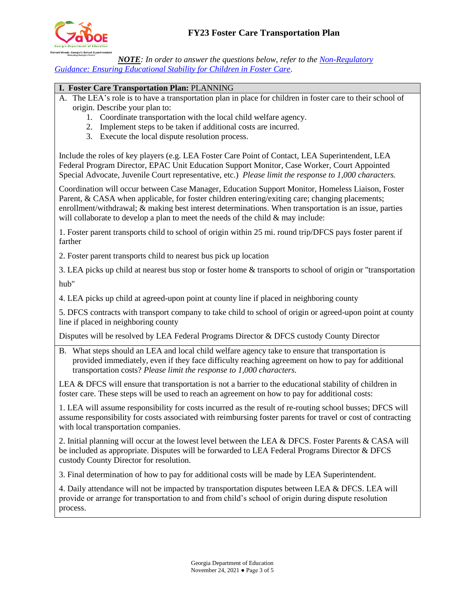

*NOTE: In order to answer the questions below, refer to th[e Non-Regulatory](http://www2.ed.gov/policy/elsec/leg/essa/edhhsfostercarenonregulatorguide.pdf)  [Guidance: Ensuring Educational Stability for Children in Foster Care](http://www2.ed.gov/policy/elsec/leg/essa/edhhsfostercarenonregulatorguide.pdf)*.

## **I. Foster Care Transportation Plan:** PLANNING

- A. The LEA's role is to have a transportation plan in place for children in foster care to their school of origin. Describe your plan to:
	- 1. Coordinate transportation with the local child welfare agency.
	- 2. Implement steps to be taken if additional costs are incurred.
	- 3. Execute the local dispute resolution process.

Include the roles of key players (e.g. LEA Foster Care Point of Contact, LEA Superintendent, LEA Federal Program Director, EPAC Unit Education Support Monitor, Case Worker, Court Appointed Special Advocate, Juvenile Court representative, etc.) *Please limit the response to 1,000 characters.*

Coordination will occur between Case Manager, Education Support Monitor, Homeless Liaison, Foster Parent, & CASA when applicable, for foster children entering/exiting care; changing placements; enrollment/withdrawal; & making best interest determinations. When transportation is an issue, parties will collaborate to develop a plan to meet the needs of the child  $\&$  may include:

1. Foster parent transports child to school of origin within 25 mi. round trip/DFCS pays foster parent if farther

2. Foster parent transports child to nearest bus pick up location

3. LEA picks up child at nearest bus stop or foster home & transports to school of origin or "transportation hub"

4. LEA picks up child at agreed-upon point at county line if placed in neighboring county

5. DFCS contracts with transport company to take child to school of origin or agreed-upon point at county line if placed in neighboring county

Disputes will be resolved by LEA Federal Programs Director & DFCS custody County Director

B. What steps should an LEA and local child welfare agency take to ensure that transportation is provided immediately, even if they face difficulty reaching agreement on how to pay for additional transportation costs? *Please limit the response to 1,000 characters.*

LEA & DFCS will ensure that transportation is not a barrier to the educational stability of children in foster care. These steps will be used to reach an agreement on how to pay for additional costs:

1. LEA will assume responsibility for costs incurred as the result of re-routing school busses; DFCS will assume responsibility for costs associated with reimbursing foster parents for travel or cost of contracting with local transportation companies.

2. Initial planning will occur at the lowest level between the LEA & DFCS. Foster Parents & CASA will be included as appropriate. Disputes will be forwarded to LEA Federal Programs Director & DFCS custody County Director for resolution.

3. Final determination of how to pay for additional costs will be made by LEA Superintendent.

4. Daily attendance will not be impacted by transportation disputes between LEA & DFCS. LEA will provide or arrange for transportation to and from child's school of origin during dispute resolution process.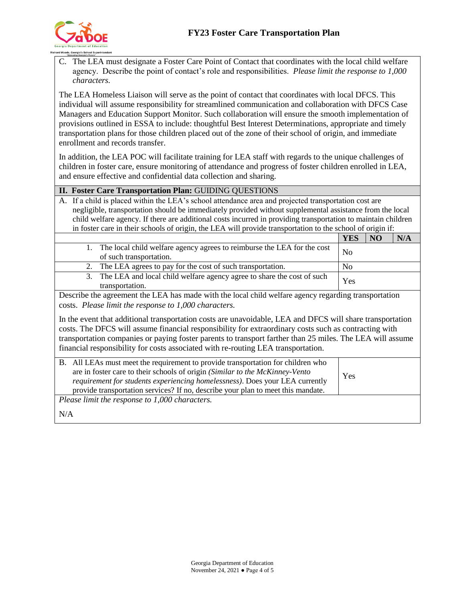

C. The LEA must designate a Foster Care Point of Contact that coordinates with the local child welfare agency. Describe the point of contact's role and responsibilities. *Please limit the response to 1,000 characters.*

The LEA Homeless Liaison will serve as the point of contact that coordinates with local DFCS. This individual will assume responsibility for streamlined communication and collaboration with DFCS Case Managers and Education Support Monitor. Such collaboration will ensure the smooth implementation of provisions outlined in ESSA to include: thoughtful Best Interest Determinations, appropriate and timely transportation plans for those children placed out of the zone of their school of origin, and immediate enrollment and records transfer.

In addition, the LEA POC will facilitate training for LEA staff with regards to the unique challenges of children in foster care, ensure monitoring of attendance and progress of foster children enrolled in LEA, and ensure effective and confidential data collection and sharing.

## **II. Foster Care Transportation Plan:** GUIDING QUESTIONS

A. If a child is placed within the LEA's school attendance area and projected transportation cost are negligible, transportation should be immediately provided without supplemental assistance from the local child welfare agency. If there are additional costs incurred in providing transportation to maintain children in foster care in their schools of origin, the LEA will provide transportation to the school of origin if:

|                                                                                                                                                                                                                                                                                                                                                                                                                      | <b>YES</b>     | <b>NO</b>      | N/A |  |
|----------------------------------------------------------------------------------------------------------------------------------------------------------------------------------------------------------------------------------------------------------------------------------------------------------------------------------------------------------------------------------------------------------------------|----------------|----------------|-----|--|
| The local child welfare agency agrees to reimburse the LEA for the cost<br>1.<br>of such transportation.                                                                                                                                                                                                                                                                                                             |                | N <sub>0</sub> |     |  |
| The LEA agrees to pay for the cost of such transportation.<br>2.                                                                                                                                                                                                                                                                                                                                                     | N <sub>0</sub> |                |     |  |
| The LEA and local child welfare agency agree to share the cost of such<br>3.<br>transportation.                                                                                                                                                                                                                                                                                                                      | Yes            |                |     |  |
| Describe the agreement the LEA has made with the local child welfare agency regarding transportation<br>costs. Please limit the response to 1,000 characters.                                                                                                                                                                                                                                                        |                |                |     |  |
| In the event that additional transportation costs are unavoidable, LEA and DFCS will share transportation<br>costs. The DFCS will assume financial responsibility for extraordinary costs such as contracting with<br>transportation companies or paying foster parents to transport farther than 25 miles. The LEA will assume<br>financial responsibility for costs associated with re-routing LEA transportation. |                |                |     |  |
| B. All LEAs must meet the requirement to provide transportation for children who<br>are in foster care to their schools of origin (Similar to the McKinney-Vento<br>requirement for students experiencing homelessness). Does your LEA currently<br>provide transportation services? If no, describe your plan to meet this mandate.                                                                                 | Yes            |                |     |  |
| Please limit the response to 1,000 characters.                                                                                                                                                                                                                                                                                                                                                                       |                |                |     |  |
| N/A                                                                                                                                                                                                                                                                                                                                                                                                                  |                |                |     |  |